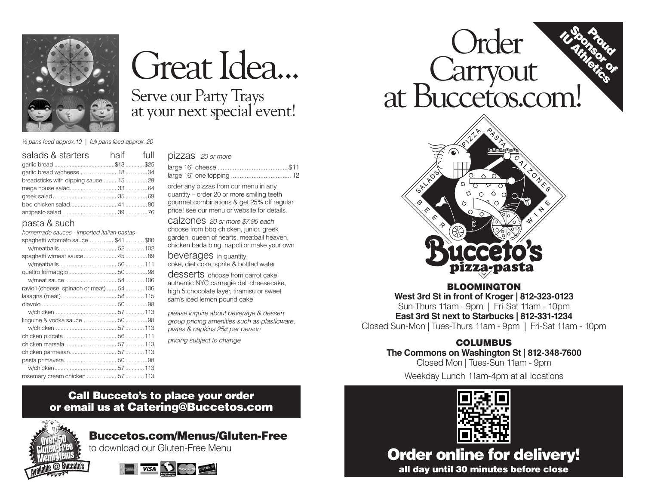

*½ pans feed approx.10 | full pans feed approx. 20*

| salads & starters                  | half full |  |
|------------------------------------|-----------|--|
|                                    |           |  |
|                                    |           |  |
| breadsticks with dipping sauce1529 |           |  |
|                                    |           |  |
|                                    |           |  |
|                                    |           |  |
|                                    |           |  |

# pasta & such

*homemade sauces - imported italian pastas*

| <u>torromado oddooo - importod italiam paolao</u> |  |
|---------------------------------------------------|--|
| spaghetti w/tomato sauce\$41 \$80                 |  |
|                                                   |  |
|                                                   |  |
|                                                   |  |
|                                                   |  |
|                                                   |  |
| ravioli (cheese, spinach or meat) 54  106         |  |
|                                                   |  |
|                                                   |  |
|                                                   |  |
|                                                   |  |
|                                                   |  |
|                                                   |  |
|                                                   |  |
|                                                   |  |
|                                                   |  |
|                                                   |  |
| rosemary cream chicken 57  113                    |  |

# Great Idea... Serve our Party Trays

at your next special event!

## pizzas *20 or more*

order any pizzas from our menu in any quantity – order 20 or more smiling teeth gourmet combinations & get 25% off regular price! see our menu or website for details.

calzones *20 or more \$7.95 each* choose from bbq chicken, junior, greek garden, queen of hearts, meatball heaven, chicken bada bing, napoli or make your own

beverages in quantity: coke, diet coke, sprite & bottled water

desserts choose from carrot cake. authentic NYC carnegie deli cheesecake, high 5 chocolate layer, tiramisu or sweet sam's iced lemon pound cake

*please inquire about beverage & dessert group pricing amenities such as plasticware, plates & napkins 25¢ per person pricing subject to change*

# **IL Sponsoro**  Order Carryout at Buccetos.com!



BLOOMINGTON **West 3rd St in front of Kroger | 812-323-0123**  Sun-Thurs 11am - 9pm | Fri-Sat 11am - 10pm **East 3rd St next to Starbucks | 812-331-1234** Closed Sun-Mon | Tues-Thurs 11am - 9pm | Fri-Sat 11am - 10pm

# COLUMBUS

**The Commons on Washington St | 812-348-7600**

Closed Mon | Tues-Sun 11am - 9pm

Weekday Lunch 11am-4pm at all locations

Order online for delivery! all day until 30 minutes before close

# Call Bucceto's to place your order or email us at Catering@Buccetos.com



Buccetos.com/Menus/Gluten-Free

to download our Gluten-Free Menu